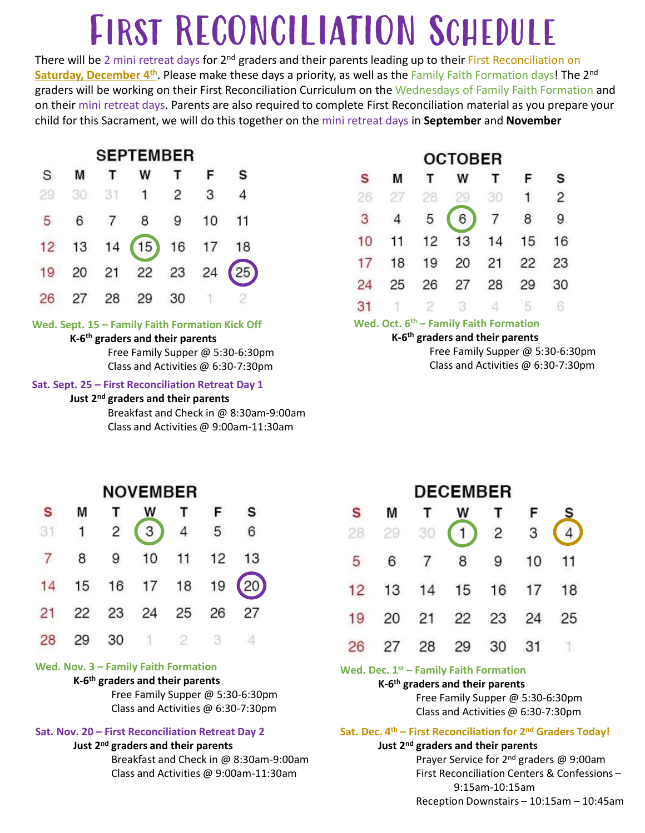# FIRST RECONCILIATION SCHEDULE

There will be 2 mini retreat days for 2<sup>nd</sup> graders and their parents leading up to their First Reconciliation on Saturday, December 4<sup>th</sup>. Please make these days a priority, as well as the Family Faith Formation days! The 2<sup>nd</sup> graders will be working on their First Reconciliation Curriculum on the Wednesdays of Family Faith Formation and on their mini retreat days. Parents are also required to complete First Reconciliation material as you prepare your child for this Sacrament, we will do this together on the mini retreat days in September and November

|    |    |    | <b>SEPTEMBER</b>                                                                              |    |    |                                                                                                                                                                                                                                                                    |    |                                   | ост                       |                 |
|----|----|----|-----------------------------------------------------------------------------------------------|----|----|--------------------------------------------------------------------------------------------------------------------------------------------------------------------------------------------------------------------------------------------------------------------|----|-----------------------------------|---------------------------|-----------------|
| S  | M  |    | W                                                                                             |    | F  | s                                                                                                                                                                                                                                                                  | S  | M                                 | т                         |                 |
| 29 | 30 | 31 | 1                                                                                             | 2  | 3  | 4                                                                                                                                                                                                                                                                  | 26 | 27                                | 28                        |                 |
| 5  | 6  | 7  | 8                                                                                             | 9  | 10 | 11                                                                                                                                                                                                                                                                 | 3  | 4                                 | 5                         |                 |
| 12 | 13 | 14 | 15                                                                                            | 16 | 17 | 18                                                                                                                                                                                                                                                                 | 10 | 11                                | 12                        |                 |
| 19 | 20 | 21 | 22                                                                                            | 23 | 24 |                                                                                                                                                                                                                                                                    | 17 | 18                                | 19                        |                 |
|    |    |    |                                                                                               |    |    |                                                                                                                                                                                                                                                                    | 24 | 25                                | 26                        |                 |
| 26 | 27 | 28 | 29                                                                                            | 30 |    |                                                                                                                                                                                                                                                                    | 31 |                                   | 2                         |                 |
|    |    |    | K-6 <sup>th</sup> graders and their parents<br>Just 2 <sup>nd</sup> graders and their parents |    |    | Wed. Sept. 15 - Family Faith Formation Kick Off<br>Free Family Supper @ 5:30-6:30pm<br>Class and Activities @ 6:30-7:30pm<br>Sat. Sept. 25 - First Reconciliation Retreat Day 1<br>Breakfast and Check in @ 8:30am-9:00am<br>Class and Activities @ 9:00am-11:30am |    | Wed. Oct. 6 <sup>th</sup> - Famil | K-6 <sup>th</sup> graders | Free I<br>Class |

## K-6th graders and their parents

## Just 2<sup>nd</sup> graders and their parents

|    |    |    | <b>OCTOBER</b>                                                                                                                                                              |    |    |    |
|----|----|----|-----------------------------------------------------------------------------------------------------------------------------------------------------------------------------|----|----|----|
| S  | M  | т  | W                                                                                                                                                                           |    | F  | s  |
| 26 | 27 | 28 | 29                                                                                                                                                                          | 30 |    | 2  |
| 3  | 4  | 5  | 6                                                                                                                                                                           | 7  | 8  | 9  |
| 10 | 11 | 12 | 13                                                                                                                                                                          | 14 | 15 | 16 |
| 17 | 18 | 19 | 20                                                                                                                                                                          | 21 | 22 | 23 |
| 24 | 25 | 26 | 27                                                                                                                                                                          | 28 | 29 | 30 |
| 31 |    | 2  | З                                                                                                                                                                           | 21 | 5  | 6  |
|    |    |    | Wed. Oct. 6 <sup>th</sup> – Family Faith Formation<br>K-6 <sup>th</sup> graders and their parents<br>Free Family Supper @ 5:30-6:30pm<br>Class and Activities @ 6:30-7:30pm |    |    |    |

|    |    |    |                                                                                                     |              |    | Breakfast and Check in @ 8:30am-9:00am<br>Class and Activities @ 9:00am-11:30am |    |                                       |                                                             |  |
|----|----|----|-----------------------------------------------------------------------------------------------------|--------------|----|---------------------------------------------------------------------------------|----|---------------------------------------|-------------------------------------------------------------|--|
|    |    |    | <b>NOVEMBER</b>                                                                                     |              |    |                                                                                 |    |                                       | DEC                                                         |  |
| S  | M  | т  | W                                                                                                   |              | F  | s                                                                               | S  | М                                     |                                                             |  |
| 31 | 1  | 2  | 3                                                                                                   | 4            | 5  | 6                                                                               | 28 | 29                                    | 30                                                          |  |
| 7  | 8  | 9  | 10                                                                                                  | 11           | 12 | 13                                                                              | 5  | 6                                     |                                                             |  |
| 14 | 15 | 16 | 17                                                                                                  | 18           | 19 |                                                                                 | 12 | 13                                    | 14                                                          |  |
| 21 | 22 | 23 | 24                                                                                                  | 25           | 26 | 27                                                                              | 19 | 20                                    | 21                                                          |  |
| 28 | 29 | 30 |                                                                                                     | $\mathbf{2}$ | 3  |                                                                                 | 26 | 27                                    | 28                                                          |  |
|    |    |    | Wed. Nov. 3 - Family Faith Formation<br>K-6 <sup>th</sup> graders and their parents                 |              |    | Free Family Supper @ 5:30-6:30pm<br>Class and Activities @ 6:30-7:30pm          |    | Wed. Dec. $1^{st}$ - Family I         | K-6 <sup>th</sup> graders ar<br>Free Fa<br>Class ar         |  |
|    |    |    | Sat. Nov. 20 - First Reconciliation Retreat Day 2<br>Just 2 <sup>nd</sup> graders and their parents |              |    | Breakfast and Check in @ 8:30am-9:00am<br>Class and Activities @ 9:00am-11:30am |    | Sat. Dec. 4 <sup>th</sup> - First Rec | Just 2 <sup>nd</sup> graders<br>Prayer !<br><b>First Re</b> |  |
|    |    |    |                                                                                                     |              |    |                                                                                 |    |                                       | Recepti                                                     |  |

## K-6th graders and their parents

## Just 2<sup>nd</sup> graders and their parents

| S<br>28<br>5 | М<br>29 |    | <b>DECEMBER</b>                                                                 |                |    |                                                                                     |  |
|--------------|---------|----|---------------------------------------------------------------------------------|----------------|----|-------------------------------------------------------------------------------------|--|
|              |         |    |                                                                                 |                |    |                                                                                     |  |
|              |         |    | W                                                                               | Г              | F  |                                                                                     |  |
|              |         | 30 |                                                                                 | $\overline{c}$ | 3  |                                                                                     |  |
|              | 6       | 7  | 8                                                                               | 9              | 10 | 11                                                                                  |  |
| 12           | 13      | 14 | 15                                                                              | 16             | 17 | 18                                                                                  |  |
| 19           | 20      | 21 | 22                                                                              | 23             | 24 | 25                                                                                  |  |
| 26           | 27      | 28 | 29                                                                              | 30             | 31 |                                                                                     |  |
|              |         |    | Wed. Dec. 1 <sup>st</sup> – Family Faith Formation                              |                |    |                                                                                     |  |
|              |         |    | K-6 <sup>th</sup> graders and their parents<br>Free Family Supper @ 5:30-6:30pm |                |    |                                                                                     |  |
|              |         |    | Class and Activities @ 6:30-7:30pm                                              |                |    |                                                                                     |  |
|              |         |    | Just 2 <sup>nd</sup> graders and their parents                                  |                |    | Sat. Dec. 4 <sup>th</sup> – First Reconciliation for 2 <sup>nd</sup> Graders Today! |  |
|              |         |    |                                                                                 |                |    | Prayer Service for 2 <sup>nd</sup> graders @ 9:00am                                 |  |
|              |         |    |                                                                                 | 9:15am-10:15am |    | First Reconciliation Centers & Confessions-                                         |  |
|              |         |    |                                                                                 |                |    | Reception Downstairs - 10:15am - 10:45am                                            |  |
|              |         |    |                                                                                 |                |    |                                                                                     |  |
|              |         |    |                                                                                 |                |    |                                                                                     |  |

### K-6<sup>th</sup> graders and their parents